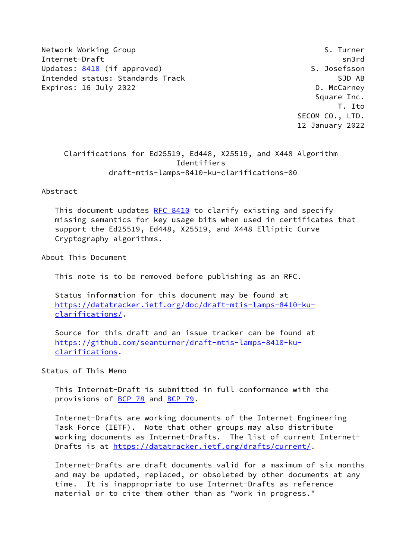Network Working Group States and the Second States of S. Turner Internet-Draft sn3rd Updates: [8410](https://datatracker.ietf.org/doc/pdf/rfc8410) (if approved) S. Josefsson Intended status: Standards Track SJD AB Expires: 16 July 2022 **D. McCarney** 

 Square Inc. T. Ito SECOM CO., LTD. 12 January 2022

 Clarifications for Ed25519, Ed448, X25519, and X448 Algorithm Identifiers draft-mtis-lamps-8410-ku-clarifications-00

Abstract

This document updates [RFC 8410](https://datatracker.ietf.org/doc/pdf/rfc8410) to clarify existing and specify missing semantics for key usage bits when used in certificates that support the Ed25519, Ed448, X25519, and X448 Elliptic Curve Cryptography algorithms.

About This Document

This note is to be removed before publishing as an RFC.

 Status information for this document may be found at [https://datatracker.ietf.org/doc/draft-mtis-lamps-8410-ku](https://datatracker.ietf.org/doc/draft-mtis-lamps-8410-ku-clarifications/) [clarifications/](https://datatracker.ietf.org/doc/draft-mtis-lamps-8410-ku-clarifications/).

 Source for this draft and an issue tracker can be found at [https://github.com/seanturner/draft-mtis-lamps-8410-ku](https://github.com/seanturner/draft-mtis-lamps-8410-ku-clarifications) [clarifications](https://github.com/seanturner/draft-mtis-lamps-8410-ku-clarifications).

Status of This Memo

 This Internet-Draft is submitted in full conformance with the provisions of [BCP 78](https://datatracker.ietf.org/doc/pdf/bcp78) and [BCP 79](https://datatracker.ietf.org/doc/pdf/bcp79).

 Internet-Drafts are working documents of the Internet Engineering Task Force (IETF). Note that other groups may also distribute working documents as Internet-Drafts. The list of current Internet- Drafts is at<https://datatracker.ietf.org/drafts/current/>.

 Internet-Drafts are draft documents valid for a maximum of six months and may be updated, replaced, or obsoleted by other documents at any time. It is inappropriate to use Internet-Drafts as reference material or to cite them other than as "work in progress."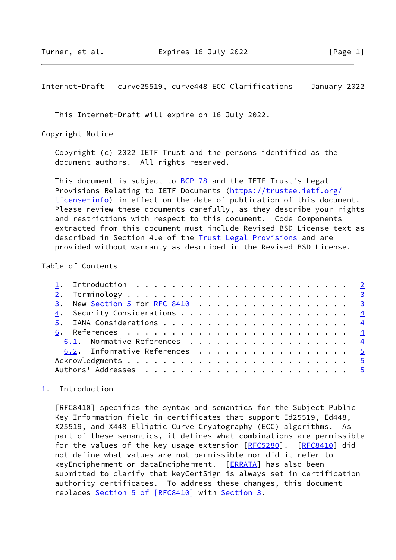<span id="page-1-1"></span>Internet-Draft curve25519, curve448 ECC Clarifications January 2022

This Internet-Draft will expire on 16 July 2022.

Copyright Notice

 Copyright (c) 2022 IETF Trust and the persons identified as the document authors. All rights reserved.

This document is subject to **[BCP 78](https://datatracker.ietf.org/doc/pdf/bcp78)** and the IETF Trust's Legal Provisions Relating to IETF Documents ([https://trustee.ietf.org/](https://trustee.ietf.org/license-info) [license-info](https://trustee.ietf.org/license-info)) in effect on the date of publication of this document. Please review these documents carefully, as they describe your rights and restrictions with respect to this document. Code Components extracted from this document must include Revised BSD License text as described in Section 4.e of the [Trust Legal Provisions](https://trustee.ietf.org/license-info) and are provided without warranty as described in the Revised BSD License.

## Table of Contents

| <u>3</u> . New <u>Section 5</u> for <u>RFC 8410</u> 3 |  |
|-------------------------------------------------------|--|
|                                                       |  |
|                                                       |  |
|                                                       |  |
| 6.1. Normative References 4                           |  |
| 6.2. Informative References 5                         |  |
|                                                       |  |
|                                                       |  |

## <span id="page-1-0"></span>[1](#page-1-0). Introduction

 [RFC8410] specifies the syntax and semantics for the Subject Public Key Information field in certificates that support Ed25519, Ed448, X25519, and X448 Elliptic Curve Cryptography (ECC) algorithms. As part of these semantics, it defines what combinations are permissible for the values of the key usage extension [[RFC5280](https://datatracker.ietf.org/doc/pdf/rfc5280)]. [[RFC8410](https://datatracker.ietf.org/doc/pdf/rfc8410)] did not define what values are not permissible nor did it refer to keyEncipherment or dataEncipherment. [[ERRATA](#page-4-5)] has also been submitted to clarify that keyCertSign is always set in certification authority certificates. To address these changes, this document replaces Section [5 of \[RFC8410\]](https://datatracker.ietf.org/doc/pdf/rfc8410#section-5) with [Section 3](#page-2-2).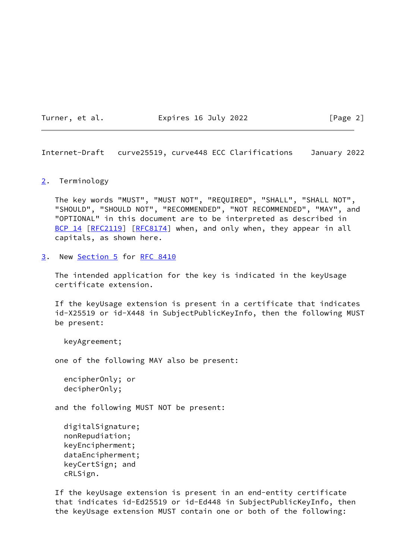Turner, et al. **Expires 16 July 2022** [Page 2]

<span id="page-2-1"></span>Internet-Draft curve25519, curve448 ECC Clarifications January 2022

## <span id="page-2-0"></span>[2](#page-2-0). Terminology

 The key words "MUST", "MUST NOT", "REQUIRED", "SHALL", "SHALL NOT", "SHOULD", "SHOULD NOT", "RECOMMENDED", "NOT RECOMMENDED", "MAY", and "OPTIONAL" in this document are to be interpreted as described in [BCP 14](https://datatracker.ietf.org/doc/pdf/bcp14) [\[RFC2119](https://datatracker.ietf.org/doc/pdf/rfc2119)] [\[RFC8174](https://datatracker.ietf.org/doc/pdf/rfc8174)] when, and only when, they appear in all capitals, as shown here.

<span id="page-2-2"></span>[3](#page-2-2). New [Section 5](#page-4-0) for [RFC 8410](https://datatracker.ietf.org/doc/pdf/rfc8410)

 The intended application for the key is indicated in the keyUsage certificate extension.

 If the keyUsage extension is present in a certificate that indicates id-X25519 or id-X448 in SubjectPublicKeyInfo, then the following MUST be present:

keyAgreement;

one of the following MAY also be present:

```
 encipherOnly; or
decipherOnly;
```
and the following MUST NOT be present:

 digitalSignature; nonRepudiation; keyEncipherment; dataEncipherment; keyCertSign; and cRLSign.

 If the keyUsage extension is present in an end-entity certificate that indicates id-Ed25519 or id-Ed448 in SubjectPublicKeyInfo, then the keyUsage extension MUST contain one or both of the following: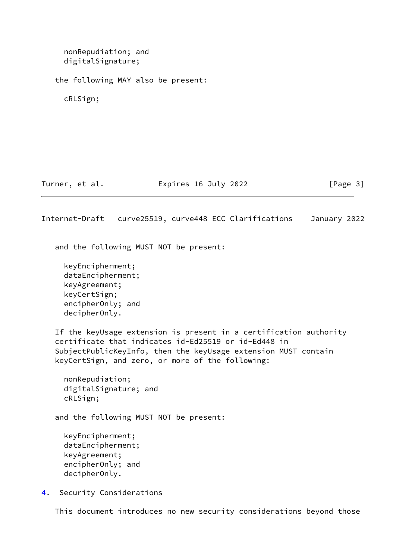<span id="page-3-1"></span> nonRepudiation; and digitalSignature; the following MAY also be present: cRLSign; Turner, et al. **Expires 16 July 2022** [Page 3] Internet-Draft curve25519, curve448 ECC Clarifications January 2022 and the following MUST NOT be present: keyEncipherment; dataEncipherment; keyAgreement; keyCertSign; encipherOnly; and decipherOnly. If the keyUsage extension is present in a certification authority certificate that indicates id-Ed25519 or id-Ed448 in SubjectPublicKeyInfo, then the keyUsage extension MUST contain keyCertSign, and zero, or more of the following: nonRepudiation; digitalSignature; and cRLSign; and the following MUST NOT be present: keyEncipherment; dataEncipherment; keyAgreement; encipherOnly; and decipherOnly. [4](#page-3-0). Security Considerations

<span id="page-3-0"></span>This document introduces no new security considerations beyond those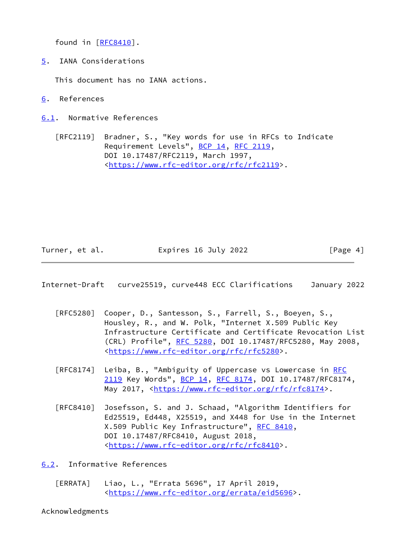found in [\[RFC8410](https://datatracker.ietf.org/doc/pdf/rfc8410)].

<span id="page-4-0"></span>[5](#page-4-0). IANA Considerations

This document has no IANA actions.

- <span id="page-4-1"></span>[6](#page-4-1). References
- <span id="page-4-2"></span>[6.1](#page-4-2). Normative References

 [RFC2119] Bradner, S., "Key words for use in RFCs to Indicate Requirement Levels", [BCP 14](https://datatracker.ietf.org/doc/pdf/bcp14), [RFC 2119](https://datatracker.ietf.org/doc/pdf/rfc2119), DOI 10.17487/RFC2119, March 1997, <<https://www.rfc-editor.org/rfc/rfc2119>>.

Turner, et al. **Expires 16 July 2022** [Page 4]

<span id="page-4-4"></span>Internet-Draft curve25519, curve448 ECC Clarifications January 2022

- [RFC5280] Cooper, D., Santesson, S., Farrell, S., Boeyen, S., Housley, R., and W. Polk, "Internet X.509 Public Key Infrastructure Certificate and Certificate Revocation List (CRL) Profile", [RFC 5280,](https://datatracker.ietf.org/doc/pdf/rfc5280) DOI 10.17487/RFC5280, May 2008, <<https://www.rfc-editor.org/rfc/rfc5280>>.
- [RFC8174] Leiba, B., "Ambiguity of Uppercase vs Lowercase in [RFC](https://datatracker.ietf.org/doc/pdf/rfc2119) [2119](https://datatracker.ietf.org/doc/pdf/rfc2119) Key Words", [BCP 14](https://datatracker.ietf.org/doc/pdf/bcp14), [RFC 8174,](https://datatracker.ietf.org/doc/pdf/rfc8174) DOI 10.17487/RFC8174, May 2017, [<https://www.rfc-editor.org/rfc/rfc8174](https://www.rfc-editor.org/rfc/rfc8174)>.
- [RFC8410] Josefsson, S. and J. Schaad, "Algorithm Identifiers for Ed25519, Ed448, X25519, and X448 for Use in the Internet X.509 Public Key Infrastructure", [RFC 8410](https://datatracker.ietf.org/doc/pdf/rfc8410), DOI 10.17487/RFC8410, August 2018, <<https://www.rfc-editor.org/rfc/rfc8410>>.

<span id="page-4-3"></span>[6.2](#page-4-3). Informative References

<span id="page-4-5"></span> [ERRATA] Liao, L., "Errata 5696", 17 April 2019, <[https://www.rfc-editor.org/errata/eid5696>](https://www.rfc-editor.org/errata/eid5696).

Acknowledgments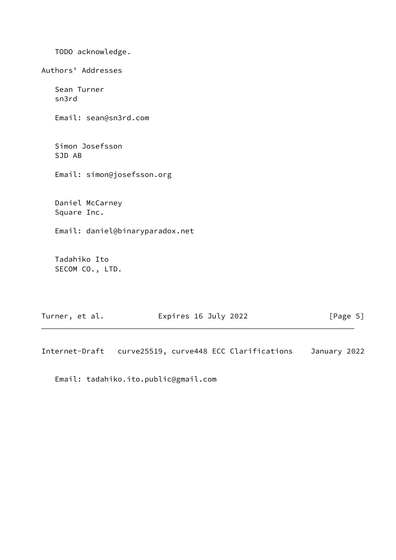TODO acknowledge. Authors' Addresses Sean Turner sn3rd Email: sean@sn3rd.com Simon Josefsson SJD AB Email: simon@josefsson.org Daniel McCarney Square Inc. Email: daniel@binaryparadox.net Tadahiko Ito SECOM CO., LTD.

| Turner, et al. | Expires 16 July 2022 | [Page 5] |
|----------------|----------------------|----------|
|----------------|----------------------|----------|

Internet-Draft curve25519, curve448 ECC Clarifications January 2022

Email: tadahiko.ito.public@gmail.com